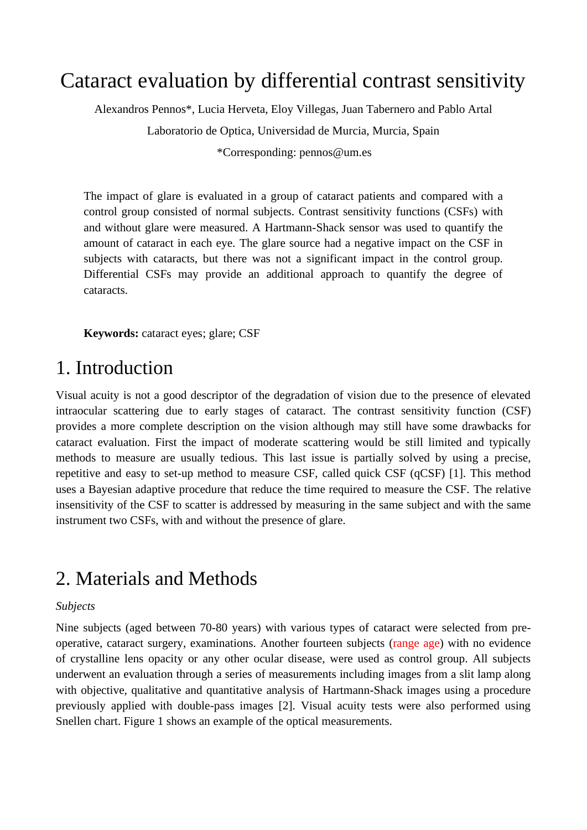# Cataract evaluation by differential contrast sensitivity

Alexandros Pennos\*, Lucia Herveta, Eloy Villegas, Juan Tabernero and Pablo Artal Laboratorio de Optica, Universidad de Murcia, Murcia, Spain \*Corresponding: pennos@um.es

The impact of glare is evaluated in a group of cataract patients and compared with a control group consisted of normal subjects. Contrast sensitivity functions (CSFs) with and without glare were measured. A Hartmann-Shack sensor was used to quantify the amount of cataract in each eye. The glare source had a negative impact on the CSF in subjects with cataracts, but there was not a significant impact in the control group. Differential CSFs may provide an additional approach to quantify the degree of cataracts.

**Keywords:** cataract eyes; glare; CSF

### 1. Introduction

Visual acuity is not a good descriptor of the degradation of vision due to the presence of elevated intraocular scattering due to early stages of cataract. The contrast sensitivity function (CSF) provides a more complete description on the vision although may still have some drawbacks for cataract evaluation. First the impact of moderate scattering would be still limited and typically methods to measure are usually tedious. This last issue is partially solved by using a precise, repetitive and easy to set-up method to measure CSF, called quick CSF (qCSF) [1]. This method uses a Bayesian adaptive procedure that reduce the time required to measure the CSF. The relative insensitivity of the CSF to scatter is addressed by measuring in the same subject and with the same instrument two CSFs, with and without the presence of glare.

## 2. Materials and Methods

#### *Subjects*

Nine subjects (aged between 70-80 years) with various types of cataract were selected from preoperative, cataract surgery, examinations. Another fourteen subjects (range age) with no evidence of crystalline lens opacity or any other ocular disease, were used as control group. All subjects underwent an evaluation through a series of measurements including images from a slit lamp along with objective, qualitative and quantitative analysis of Hartmann-Shack images using a procedure previously applied with double-pass images [2]. Visual acuity tests were also performed using Snellen chart. Figure 1 shows an example of the optical measurements.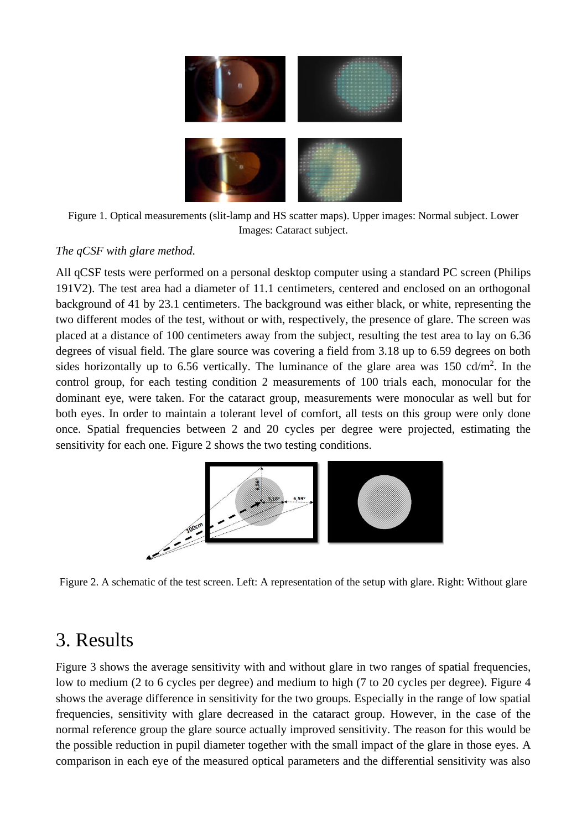

Figure 1. Optical measurements (slit-lamp and HS scatter maps). Upper images: Normal subject. Lower Images: Cataract subject.

#### *The qCSF with glare method.*

All qCSF tests were performed on a personal desktop computer using a standard PC screen (Philips 191V2). The test area had a diameter of 11.1 centimeters, centered and enclosed on an orthogonal background of 41 by 23.1 centimeters. The background was either black, or white, representing the two different modes of the test, without or with, respectively, the presence of glare. The screen was placed at a distance of 100 centimeters away from the subject, resulting the test area to lay on 6.36 degrees of visual field. The glare source was covering a field from 3.18 up to 6.59 degrees on both sides horizontally up to 6.56 vertically. The luminance of the glare area was 150 cd/m<sup>2</sup>. In the control group, for each testing condition 2 measurements of 100 trials each, monocular for the dominant eye, were taken. For the cataract group, measurements were monocular as well but for both eyes. In order to maintain a tolerant level of comfort, all tests on this group were only done once. Spatial frequencies between 2 and 20 cycles per degree were projected, estimating the sensitivity for each one. Figure 2 shows the two testing conditions.



Figure 2. A schematic of the test screen. Left: A representation of the setup with glare. Right: Without glare

## 3. Results

Figure 3 shows the average sensitivity with and without glare in two ranges of spatial frequencies, low to medium (2 to 6 cycles per degree) and medium to high (7 to 20 cycles per degree). Figure 4 shows the average difference in sensitivity for the two groups. Especially in the range of low spatial frequencies, sensitivity with glare decreased in the cataract group. However, in the case of the normal reference group the glare source actually improved sensitivity. The reason for this would be the possible reduction in pupil diameter together with the small impact of the glare in those eyes. A comparison in each eye of the measured optical parameters and the differential sensitivity was also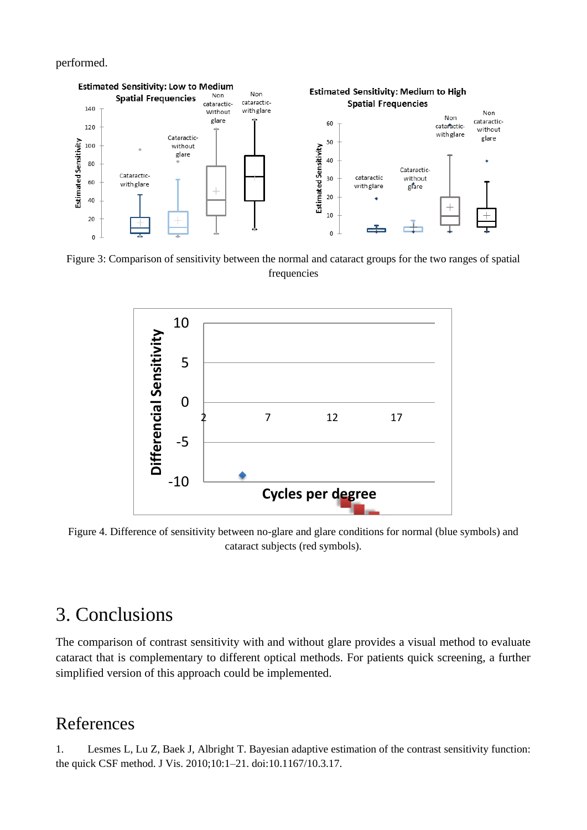performed.



Figure 3: Comparison of sensitivity between the normal and cataract groups for the two ranges of spatial frequencies



Figure 4. Difference of sensitivity between no-glare and glare conditions for normal (blue symbols) and cataract subjects (red symbols).

# 3. Conclusions

The comparison of contrast sensitivity with and without glare provides a visual method to evaluate cataract that is complementary to different optical methods. For patients quick screening, a further simplified version of this approach could be implemented.

### References

1. Lesmes L, Lu Z, Baek J, Albright T. Bayesian adaptive estimation of the contrast sensitivity function: the quick CSF method. J Vis. 2010;10:1–21. doi:10.1167/10.3.17.